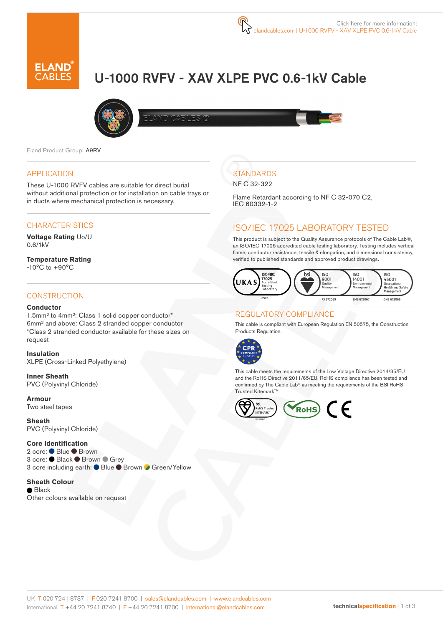# U-1000 RVFV - XAV XLPE PVC 0.6-1kV Cable



Eland Product Group: A9RV

#### APPLICATION

These U-1000 RVFV cables are suitable for direct burial without additional protection or for installation on cable trays or in ducts where mechanical protection is necessary.

## **CHARACTERISTICS**

**Voltage Rating** Uo/U 0.6/1kV

**Temperature Rating** -10°C to +90°C

#### **CONSTRUCTION**

#### **Conductor**

1.5mm² to 4mm²: Class 1 solid copper conductor\* 6mm² and above: Class 2 stranded copper conductor \*Class 2 stranded conductor available for these sizes on request

**Insulation** XLPE (Cross-Linked Polyethylene)

**Inner Sheath** PVC (Polyvinyl Chloride)

**Armour** Two steel tapes

**Sheath** PVC (Polyvinyl Chloride)

**Core Identification**

2 core: ● Blue ● Brown 3 core: ● Black ● Brown ● Grey 3 core including earth: ● Blue ● Brown ● Green/Yellow

**Sheath Colour** ● Black Other colours available on request

## **STANDARDS**

NF C 32-322

Flame Retardant according to NF C 32-070 C2, IEC 60332-1-2

## ISO/IEC 17025 LABORATORY TESTED

This product is subject to the Quality Assurance protocols of The Cable Lab®, an ISO/IEC 17025 accredited cable testing laboratory. Testing includes vertical flame, conductor resistance, tensile & elongation, and dimensional consistency, verified to published standards and approved product drawings.



### REGULATORY COMPLIANCE

This cable is compliant with European Regulation EN 50575, the Construction Products Regulation.



This cable meets the requirements of the Low Voltage Directive 2014/35/EU and the RoHS Directive 2011/65/EU. RoHS compliance has been tested and confirmed by The Cable Lab® as meeting the requirements of the BSI RoHS Trusted Kitemark™.

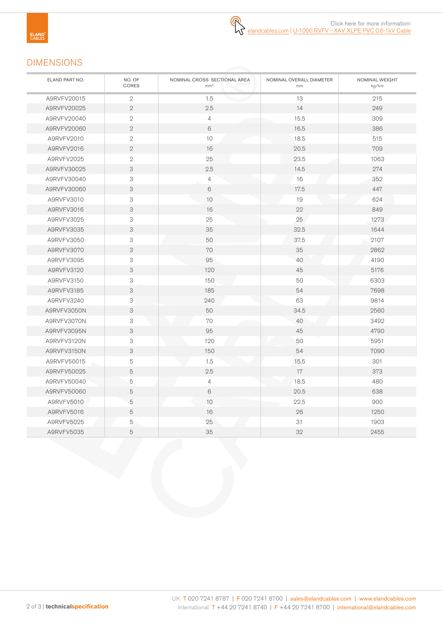## DIMENSIONS

| ELAND PART NO. | NO. OF<br>CORES           | NOMINAL CROSS SECTIONAL AREA<br>mm <sup>2</sup> | NOMINAL OVERALL DIAMETER<br>mm | NOMINAL WEIGHT<br>kg/km |
|----------------|---------------------------|-------------------------------------------------|--------------------------------|-------------------------|
| A9RVFV20015    | $\sqrt{2}$                | 1.5                                             | 13                             | 215                     |
| A9RVFV20025    | $\overline{2}$            | 2.5                                             | 14                             | 249                     |
| A9RVFV20040    | $\sqrt{2}$                | 4                                               | 15.5                           | 309                     |
| A9RVFV20060    | $\mathbf{2}$              | 6                                               | 16.5                           | 386                     |
| A9RVFV2010     | $\sqrt{2}$                | 10                                              | 18.5                           | 515                     |
| A9RVFV2016     | $\mathbf{2}$              | 16                                              | 20.5                           | 709                     |
| A9RVFV2025     | $\overline{2}$            | 25                                              | 23.5                           | 1063                    |
| A9RVFV30025    | 3                         | 2.5                                             | 14.5                           | 274                     |
| A9RVFV30040    | 3                         | 4                                               | 16                             | 352                     |
| A9RVFV30060    | 3                         | 6                                               | 17.5                           | 447                     |
| A9RVFV3010     | 3                         | $10$                                            | 19                             | 624                     |
| A9RVFV3016     | 3                         | 16                                              | 22                             | 849                     |
| A9RVFV3025     | 3                         | 25                                              | 25                             | 1273                    |
| A9RVFV3035     | 3                         | 35                                              | 32.5                           | 1644                    |
| A9RVFV3050     | 3                         | 50                                              | 37.5                           | 2107                    |
| A9RVFV3070     | $\ensuremath{\mathsf{3}}$ | 70                                              | 35                             | 2862                    |
| A9RVFV3095     | 3                         | 95                                              | 40                             | 4190                    |
| A9RVFV3120     | 3                         | 120                                             | 45                             | 5176                    |
| A9RVFV3150     | 3                         | 150                                             | 50                             | 6303                    |
| A9RVFV3185     | 3                         | 185                                             | 54                             | 7698                    |
| A9RVFV3240     | 3                         | 240                                             | 63                             | 9814                    |
| A9RVFV3050N    | 3                         | 50                                              | 34.5                           | 2560                    |
| A9RVFV3070N    | 3                         | 70                                              | 40                             | 3492                    |
| A9RVFV3095N    | 3                         | 95                                              | 45                             | 4790                    |
| A9RVFV3120N    | $\ensuremath{\mathsf{3}}$ | 120                                             | 50                             | 5951                    |
| A9RVFV3150N    | 3                         | 150                                             | 54                             | 7090                    |
| A9RVFV50015    | 5                         | 1.5                                             | 15.5                           | 301                     |
| A9RVFV50025    | 5                         | 2.5                                             | 17                             | 373                     |
| A9RVFV50040    | $\mathbf 5$               | $\overline{4}$                                  | 18.5                           | 480                     |
| A9RVFV50060    | 5                         | 6                                               | 20.5                           | 638                     |
| A9RVFV5010     | 5                         | 10                                              | 22.5                           | 900                     |
| A9RVFV5016     | 5                         | 16                                              | 26                             | 1250                    |
| A9RVFV5025     | 5                         | 25                                              | 31                             | 1903                    |
| A9RVFV5035     | 5                         | 35                                              | 32                             | 2455                    |